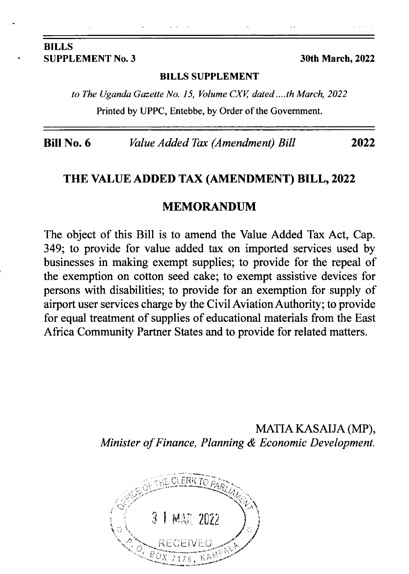#### BILLS SUPPLEMENT No. 3 30th March, 2022

#### BILLS SUPPLEMENT

to The Uganda Gazette No. 15, Volume CXV, dated ....th March, 2022 Printed by UPPC, Entebbe, by Order of the Govemment.

Bill No. 6 *Value Added Tax (Amendment) Bill* 2022

#### THE VALUE ADDED TAX (AMENDMENT) BILL, 2022

#### MEMORANDUM

The object of this Bill is to amend the Value Added Tax Act, Cap. 349; to provide for value added tax on imported services used by businesses in making exempt supplies; to provide for the repeal of the exemption on cotton seed cake; to exempt assistive devices for persons with disabilities; to provide for an exemption for supply of airport user services charge by the CivilAviationAuthority; to provide for equal treatment of supplies of educational materials from the East Africa Community Partner States and to provide for related matters.

> MATIA KASAIJA (MP), Minister of Finance, Planning & Economic Development.

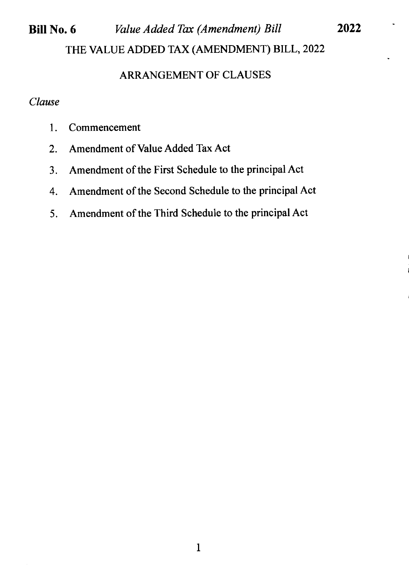#### Bill No. 6 *Value Added Tax (Amendment) Bill* THE VALUE ADDED TAX (AMENDMENT) BILL, 2022 2022

### ARRANGEMENT OF CLAUSES

### Clause

- 1. Commencement
- 2. Amendment of Value Added Tax Act
- 3. Amendment of the First Schedule to the principal Act
- 4. Amendment of the Second Schedule to the principal Act
- 5. Amendment of the Third Schedule to the principal Act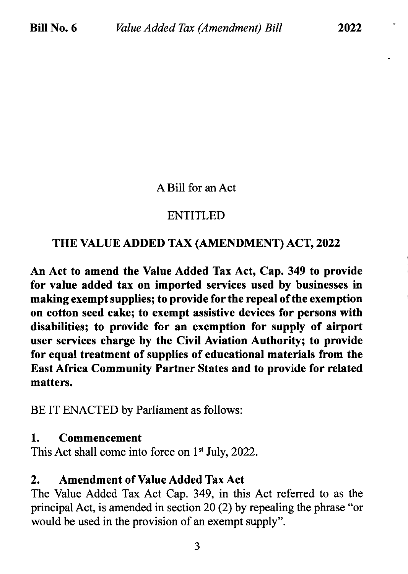## A Bill for an Act

## ENTITLED

# THE VALUE ADDED TAX (AMENDMENT) ACT,2022

An Act to amend the Value Added Tax Act, Cap.349 to provide for value added tax on imported serryices used by businesses in making exempt supplies; to provide forthe repeal of the exemption on cotton seed cake; to exempt assistive devices for persons with disabilities; to provide for an exemption for supply of airport user services charge by the Civil Aviation Authority; to provide for equal treatment of supplies of educational materials from the East Africa Community Partner States and to provide for related matters.

BE IT ENACTED by Parliament as follows:

## 1. Commencement

This Act shall come into force on  $1<sup>st</sup>$  July, 2022.

## 2. Amendment of Value Added Tax Act

The Value Added Tax Act Cap. 349, in this Act referred to as the principal Act, is amended in section 20 (2) by repealing the phrase "or would be used in the provision of an exempt supply".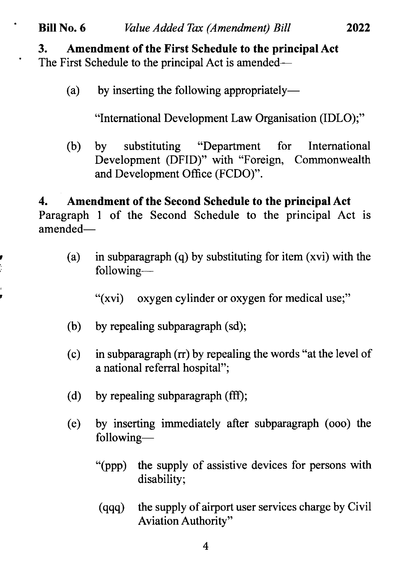# Bill No. 6 *Value Added Tax (Amendment) Bill* 2022

3. Amendment of the First Schedule to the principal Act

The First Schedule to the principal Act is amended—

 $\ddot{\phantom{0}}$ 

 $\bullet$ 

(a) by inserting the following appropriately-

"International Development Law Organisation (IDLO);"

(b) by substituting "Department for Development (DFID)" with "Foreign, Commonwealth and Development Office (FCDO)". International

4. Amendment of the Second Schedule to the principal Act Paragraph I of the Second Schedule to the principal Act is amended-

(a) in subparagraph (q) by substituting for item (xvi) with the following-

"(xvi) oxygen cylinder or oxygen for medical use;"

- (b) by repealing subparagraph (sd);
- (c) in subparagraph  $($ r $)$  by repealing the words "at the level of a national referral hospital";
- (d) by repealing subparagraph (fff);
- (e) by inserting immediately after subparagraph (ooo) the following-
	- "(ppp) the supply of assistive devices for persons with disability;
	- (qqq) the supply of airport user services charge by Civil Aviation Authority"